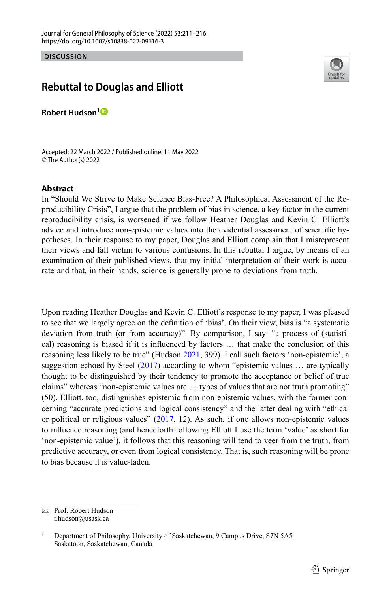**DISCUSSION**

## **Rebuttal to Douglas and Elliott**

**Robert Hudson[1](http://orcid.org/0000-0002-6713-1043)**

Accepted: 22 March 2022 / Published online: 11 May 2022 © The Author(s) 2022

## **Abstract**

In "Should We Strive to Make Science Bias‑Free? A Philosophical Assessment of the Re‑ producibility Crisis", I argue that the problem of bias in science, a key factor in the current reproducibility crisis, is worsened if we follow Heather Douglas and Kevin C. Elliott's advice and introduce non-epistemic values into the evidential assessment of scientific hypotheses. In their response to my paper, Douglas and Elliott complain that I misrepresent their views and fall victim to various confusions. In this rebuttal I argue, by means of an examination of their published views, that my initial interpretation of their work is accurate and that, in their hands, science is generally prone to deviations from truth.

Upon reading Heather Douglas and Kevin C. Elliott's response to my paper, I was pleased to see that we largely agree on the defnition of 'bias'. On their view, bias is "a systematic deviation from truth (or from accuracy)". By comparison, I say: "a process of (statistical) reasoning is biased if it is infuenced by factors … that make the conclusion of this reasoning less likely to be true" (Hudson [2021](#page-5-0), 399). I call such factors 'non-epistemic', a suggestion echoed by Steel [\(2017](#page-5-1)) according to whom "epistemic values ... are typically thought to be distinguished by their tendency to promote the acceptance or belief of true claims" whereas "non-epistemic values are … types of values that are not truth promoting" (50). Elliott, too, distinguishes epistemic from non-epistemic values, with the former concerning "accurate predictions and logical consistency" and the latter dealing with "ethical or political or religious values" [\(2017](#page-5-2), 12). As such, if one allows non-epistemic values to infuence reasoning (and henceforth following Elliott I use the term 'value' as short for 'non-epistemic value'), it follows that this reasoning will tend to veer from the truth, from predictive accuracy, or even from logical consistency. That is, such reasoning will be prone to bias because it is value-laden.

 $\boxtimes$  Prof. Robert Hudson r.hudson@usask.ca



Department of Philosophy, University of Saskatchewan, 9 Campus Drive, S7N 5A5 Saskatoon, Saskatchewan, Canada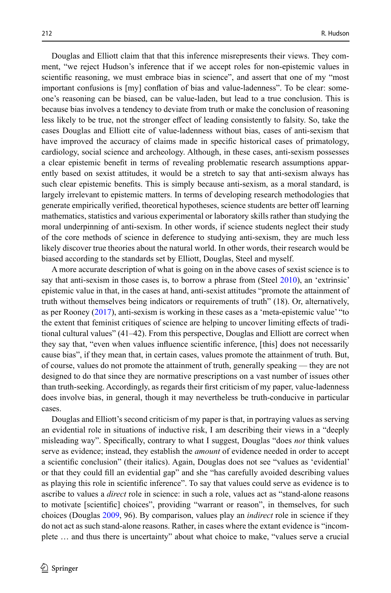Douglas and Elliott claim that that this inference misrepresents their views. They comment, "we reject Hudson's inference that if we accept roles for non-epistemic values in scientifc reasoning, we must embrace bias in science", and assert that one of my "most important confusions is [my] conflation of bias and value-ladenness". To be clear: someone's reasoning can be biased, can be value-laden, but lead to a true conclusion. This is because bias involves a tendency to deviate from truth or make the conclusion of reasoning less likely to be true, not the stronger effect of leading consistently to falsity. So, take the cases Douglas and Elliott cite of value-ladenness without bias, cases of anti-sexism that have improved the accuracy of claims made in specifc historical cases of primatology, cardiology, social science and archeology. Although, in these cases, anti-sexism possesses a clear epistemic benefit in terms of revealing problematic research assumptions apparently based on sexist attitudes, it would be a stretch to say that anti-sexism always has such clear epistemic benefts. This is simply because anti-sexism, as a moral standard, is largely irrelevant to epistemic matters. In terms of developing research methodologies that generate empirically verifed, theoretical hypotheses, science students are better of learning mathematics, statistics and various experimental or laboratory skills rather than studying the moral underpinning of anti-sexism. In other words, if science students neglect their study of the core methods of science in deference to studying anti-sexism, they are much less likely discover true theories about the natural world. In other words, their research would be biased according to the standards set by Elliott, Douglas, Steel and myself.

A more accurate description of what is going on in the above cases of sexist science is to say that anti-sexism in those cases is, to borrow a phrase from (Steel [2010](#page-5-3)), an 'extrinsic' epistemic value in that, in the cases at hand, anti-sexist attitudes "promote the attainment of truth without themselves being indicators or requirements of truth" (18). Or, alternatively, as per Rooney [\(2017](#page-5-4)), anti-sexism is working in these cases as a 'meta-epistemic value' "to the extent that feminist critiques of science are helping to uncover limiting effects of traditional cultural values" (41–42). From this perspective, Douglas and Elliott are correct when they say that, "even when values infuence scientifc inference, [this] does not necessarily cause bias", if they mean that, in certain cases, values promote the attainment of truth. But, of course, values do not promote the attainment of truth, generally speaking — they are not designed to do that since they are normative prescriptions on a vast number of issues other than truth-seeking. Accordingly, as regards their frst criticism of my paper, value-ladenness does involve bias, in general, though it may nevertheless be truth-conducive in particular cases.

Douglas and Elliott's second criticism of my paper is that, in portraying values as serving an evidential role in situations of inductive risk, I am describing their views in a "deeply misleading way". Specifcally, contrary to what I suggest, Douglas "does *not* think values serve as evidence; instead, they establish the *amount* of evidence needed in order to accept a scientifc conclusion" (their italics). Again, Douglas does not see "values as 'evidential' or that they could fll an evidential gap" and she "has carefully avoided describing values as playing this role in scientifc inference". To say that values could serve as evidence is to ascribe to values a *direct* role in science: in such a role, values act as "stand-alone reasons to motivate [scientifc] choices", providing "warrant or reason", in themselves, for such choices (Douglas [2009](#page-4-0), 96). By comparison, values play an *indirect* role in science if they do not act as such stand-alone reasons. Rather, in cases where the extant evidence is "incomplete … and thus there is uncertainty" about what choice to make, "values serve a crucial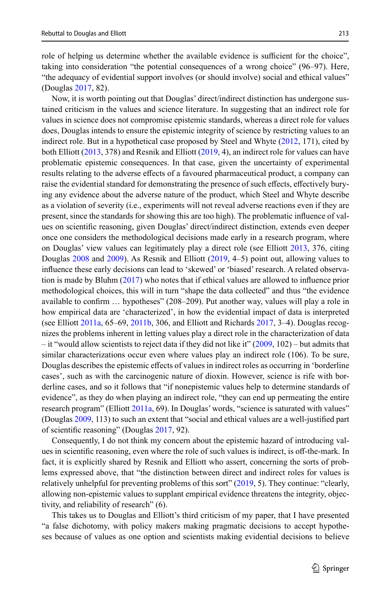role of helping us determine whether the available evidence is sufficient for the choice", taking into consideration "the potential consequences of a wrong choice" (96–97). Here, "the adequacy of evidential support involves (or should involve) social and ethical values" (Douglas [2017](#page-4-1), 82).

Now, it is worth pointing out that Douglas' direct/indirect distinction has undergone sus‑ tained criticism in the values and science literature. In suggesting that an indirect role for values in science does not compromise epistemic standards, whereas a direct role for values does, Douglas intends to ensure the epistemic integrity of science by restricting values to an indirect role. But in a hypothetical case proposed by Steel and Whyte [\(2012](#page-5-5), 171), cited by both Elliott ([2013,](#page-5-6) 378) and Resnik and Elliott [\(2019](#page-5-7), 4), an indirect role for values can have problematic epistemic consequences. In that case, given the uncertainty of experimental results relating to the adverse efects of a favoured pharmaceutical product, a company can raise the evidential standard for demonstrating the presence of such effects, effectively burying any evidence about the adverse nature of the product, which Steel and Whyte describe as a violation of severity (i.e., experiments will not reveal adverse reactions even if they are present, since the standards for showing this are too high). The problematic influence of values on scientifc reasoning, given Douglas' direct/indirect distinction, extends even deeper once one considers the methodological decisions made early in a research program, where on Douglas' view values can legitimately play a direct role (see Elliott [2013,](#page-5-6) 376, citing Douglas [2008](#page-4-2) and [2009](#page-4-0)). As Resnik and Elliott ([2019,](#page-5-7) 4–5) point out, allowing values to influence these early decisions can lead to 'skewed' or 'biased' research. A related observation is made by Bluhm [\(2017](#page-4-3)) who notes that if ethical values are allowed to infuence prior methodological choices, this will in turn "shape the data collected" and thus "the evidence available to confrm … hypotheses" (208–209). Put another way, values will play a role in how empirical data are 'characterized', in how the evidential impact of data is interpreted (see Elliott [2011a,](#page-5-8)  $65-69$ , [2011b](#page-5-9), 306, and Elliott and Richards [2017](#page-5-10), 3-4). Douglas recognizes the problems inherent in letting values play a direct role in the characterization of data – it "would allow scientists to reject data if they did not like it"  $(2009, 102)$  $(2009, 102)$  – but admits that similar characterizations occur even where values play an indirect role (106). To be sure, Douglas describes the epistemic effects of values in indirect roles as occurring in 'borderline cases', such as with the carcinogenic nature of dioxin. However, science is rife with bor– derline cases, and so it follows that "if nonepistemic values help to determine standards of evidence", as they do when playing an indirect role, "they can end up permeating the entire research program" (Elliott [2011a,](#page-5-8) 69). In Douglas' words, "science is saturated with values" (Douglas [2009](#page-4-0), 113) to such an extent that "social and ethical values are a well-justifed part of scientifc reasoning" (Douglas [2017,](#page-4-1) 92).

Consequently, I do not think my concern about the epistemic hazard of introducing val– ues in scientifc reasoning, even where the role of such values is indirect, is of-the-mark. In fact, it is explicitly shared by Resnik and Elliott who assert, concerning the sorts of problems expressed above, that "the distinction between direct and indirect roles for values is relatively unhelpful for preventing problems of this sort" [\(2019](#page-5-7), 5). They continue: "clearly, allowing non-epistemic values to supplant empirical evidence threatens the integrity, objectivity, and reliability of research" (6).

This takes us to Douglas and Elliott's third criticism of my paper, that I have presented "a false dichotomy, with policy makers making pragmatic decisions to accept hypothe‑ ses because of values as one option and scientists making evidential decisions to believe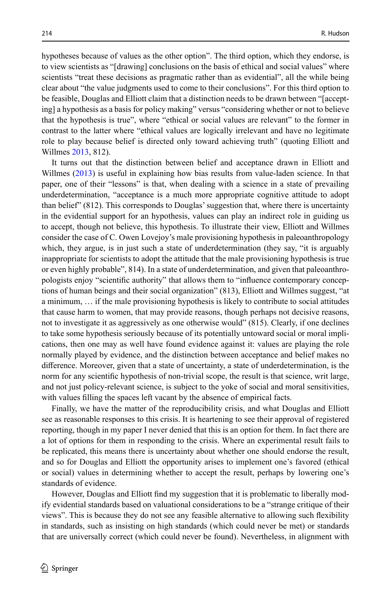hypotheses because of values as the other option". The third option, which they endorse, is to view scientists as "[drawing] conclusions on the basis of ethical and social values" where scientists "treat these decisions as pragmatic rather than as evidential", all the while being clear about "the value judgments used to come to their conclusions". For this third option to be feasible, Douglas and Elliott claim that a distinction needs to be drawn between "[accepting] a hypothesis as a basis for policy making" versus "considering whether or not to believe that the hypothesis is true", where "ethical or social values are relevant" to the former in contrast to the latter where "ethical values are logically irrelevant and have no legitimate role to play because belief is directed only toward achieving truth" (quoting Elliott and Willmes [2013,](#page-5-6) 812).

It turns out that the distinction between belief and acceptance drawn in Elliott and Willmes ([2013\)](#page-5-6) is useful in explaining how bias results from value-laden science. In that paper, one of their "lessons" is that, when dealing with a science in a state of prevailing underdetermination, "acceptance is a much more appropriate cognitive attitude to adopt than belief" (812). This corresponds to Douglas' suggestion that, where there is uncertainty in the evidential support for an hypothesis, values can play an indirect role in guiding us to accept, though not believe, this hypothesis. To illustrate their view, Elliott and Willmes consider the case of C. Owen Lovejoy's male provisioning hypothesis in paleoanthropology which, they argue, is in just such a state of underdetermination (they say, "it is arguably inappropriate for scientists to adopt the attitude that the male provisioning hypothesis is true or even highly probable", 814). In a state of underdetermination, and given that paleoanthropologists enjoy "scientific authority" that allows them to "influence contemporary conceptions of human beings and their social organization" (813), Elliott and Willmes suggest, "at a minimum, … if the male provisioning hypothesis is likely to contribute to social attitudes that cause harm to women, that may provide reasons, though perhaps not decisive reasons, not to investigate it as aggressively as one otherwise would" (815). Clearly, if one declines to take some hypothesis seriously because of its potentially untoward social or moral implications, then one may as well have found evidence against it: values are playing the role normally played by evidence, and the distinction between acceptance and belief makes no diference. Moreover, given that a state of uncertainty, a state of underdetermination, is the norm for any scientifc hypothesis of non-trivial scope, the result is that science, writ large, and not just policy-relevant science, is subject to the yoke of social and moral sensitivities, with values flling the spaces left vacant by the absence of empirical facts.

Finally, we have the matter of the reproducibility crisis, and what Douglas and Elliott see as reasonable responses to this crisis. It is heartening to see their approval of registered reporting, though in my paper I never denied that this is an option for them. In fact there are a lot of options for them in responding to the crisis. Where an experimental result fails to be replicated, this means there is uncertainty about whether one should endorse the result, and so for Douglas and Elliott the opportunity arises to implement one's favored (ethical or social) values in determining whether to accept the result, perhaps by lowering one's standards of evidence.

However, Douglas and Elliott find my suggestion that it is problematic to liberally modify evidential standards based on valuational considerations to be a "strange critique of their views". This is because they do not see any feasible alternative to allowing such fexibility in standards, such as insisting on high standards (which could never be met) or standards that are universally correct (which could never be found). Nevertheless, in alignment with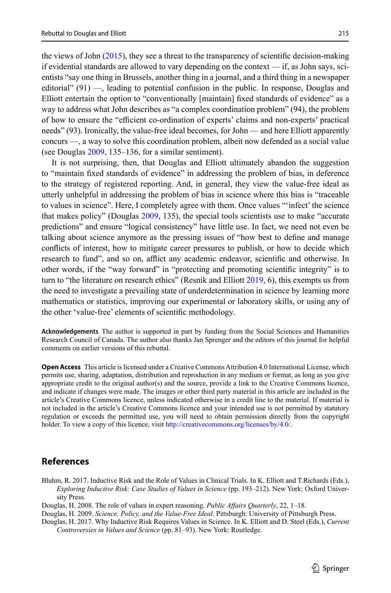215

the views of John [\(2015](#page-5-11)), they see a threat to the transparency of scientifc decision-making if evidential standards are allowed to vary depending on the context  $\frac{d}{dt}$  as John says, scientists "say one thing in Brussels, another thing in a journal, and a third thing in a newspaper editorial" (91) —, leading to potential confusion in the public. In response, Douglas and Elliott entertain the option to "conventionally [maintain] fxed standards of evidence" as a way to address what John describes as "a complex coordination problem" (94), the problem of how to ensure the "efficient co-ordination of experts' claims and non-experts' practical needs" (93). Ironically, the value-free ideal becomes, for John — and here Elliott apparently concurs —, a way to solve this coordination problem, albeit now defended as a social value (see Douglas [2009](#page-4-0), 135–136, for a similar sentiment).

It is not surprising, then, that Douglas and Elliott ultimately abandon the suggestion to "maintain fxed standards of evidence" in addressing the problem of bias, in deference to the strategy of registered reporting. And, in general, they view the value-free ideal as utterly unhelpful in addressing the problem of bias in science where this bias is "traceable to values in science". Here, I completely agree with them. Once values "'infect' the science that makes policy" (Douglas [2009](#page-4-0), 135), the special tools scientists use to make "accurate predictions" and ensure "logical consistency" have little use. In fact, we need not even be talking about science anymore as the pressing issues of "how best to defne and manage conficts of interest, how to mitigate career pressures to publish, or how to decide which research to fund", and so on, afflict any academic endeavor, scientific and otherwise. In other words, if the "way forward" in "protecting and promoting scientifc integrity" is to turn to "the literature on research ethics" (Resnik and Elliott [2019](#page-5-7), 6), this exempts us from the need to investigate a prevailing state of underdetermination in science by learning more mathematics or statistics, improving our experimental or laboratory skills, or using any of the other 'value-free' elements of scientifc methodology.

**Acknowledgements** The author is supported in part by funding from the Social Sciences and Humanities Research Council of Canada. The author also thanks Jan Sprenger and the editors of this journal for helpful comments on earlier versions of this rebuttal.

**Open Access** This article is licensed under a Creative Commons Attribution 4.0 International License, which permits use, sharing, adaptation, distribution and reproduction in any medium or format, as long as you give appropriate credit to the original author(s) and the source, provide a link to the Creative Commons licence, and indicate if changes were made. The images or other third party material in this article are included in the article's Creative Commons licence, unless indicated otherwise in a credit line to the material. If material is not included in the article's Creative Commons licence and your intended use is not permitted by statutory regulation or exceeds the permitted use, you will need to obtain permission directly from the copyright holder. To view a copy of this licence, visit [http://creativecommons.org/licenses/by/4.0/.](http://creativecommons.org/licenses/by/4.0/)

## **References**

- <span id="page-4-3"></span>Bluhm, R. 2017. Inductive Risk and the Role of Values in Clinical Trials. In K. Elliott and T.Richards (Eds.), *Exploring Inductive Risk: Case Studies of Values in Science* (pp. 193–212). New York: Oxford University Press.
- <span id="page-4-2"></span>Douglas, H. 2008. The role of values in expert reasoning. *Public Afairs Quarterly*, 22, 1–18.
- <span id="page-4-0"></span>Douglas, H. 2009. *Science, Policy, and the Value-Free Ideal*. Pittsburgh: University of Pittsburgh Press.
- <span id="page-4-1"></span>Douglas, H. 2017. Why Inductive Risk Requires Values in Science. In K. Elliott and D. Steel (Eds.), *Current Controversies in Values and Science* (pp. 81–93). New York: Routledge.